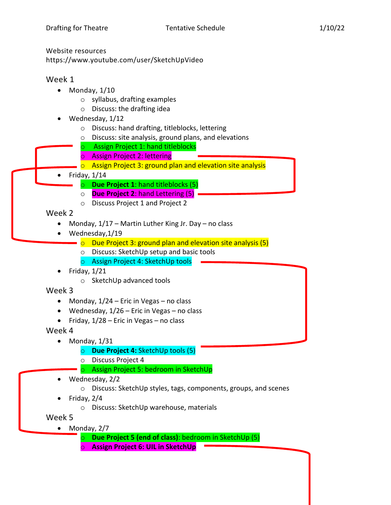Website resources

https://www.youtube.com/user/SketchUpVideo

## Week 1

- Monday,  $1/10$ 
	- o syllabus, drafting examples
	- o Discuss: the drafting idea
- Wednesday, 1/12
	- o Discuss: hand drafting, titleblocks, lettering
	- o Discuss: site analysis, ground plans, and elevations
	- o Assign Project 1: hand titleblocks
	- o Assign Project 2: lettering
	- o Assign Project 3: ground plan and elevation site analysis
- Friday,  $1/14$ 
	- o **Due Project 1**: hand titleblocks (5)
	- o **Due Project 2**: hand Lettering (5)
	- o Discuss Project 1 and Project 2

Week 2

- Monday, 1/17 Martin Luther King Jr. Day no class
- Wednesday,1/19
	- $\overline{\circ}$  Due Project 3: ground plan and elevation site analysis (5)
		- o Discuss: SketchUp setup and basic tools
		- o Assign Project 4: SketchUp tools
- Friday,  $1/21$ 
	- o SketchUp advanced tools

# Week 3

- Monday,  $1/24$  Eric in Vegas no class
- Wednesday,  $1/26$  Eric in Vegas no class
- Friday,  $1/28$  Eric in Vegas no class

## Week 4

- Monday,  $1/31$ 
	- o **Due Project 4:** SketchUp tools (5)
	- o Discuss Project 4
	- o Assign Project 5: bedroom in SketchUp
- Wednesday, 2/2
	- o Discuss: SketchUp styles, tags, components, groups, and scenes
- Friday,  $2/4$ 
	- o Discuss: SketchUp warehouse, materials

Week 5

- Monday, 2/7
	- **Due Project 5 (end of class)**: bedroom in SketchUp (5)
	- o **Assign Project 6: UIL in SketchUp**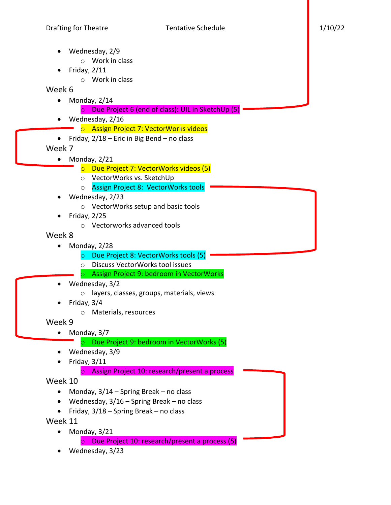- Wednesday, 2/9
	- o Work in class
- $\bullet$  Friday, 2/11
	- o Work in class

Week 6

- Monday,  $2/14$ 
	- o Due Project 6 (end of class): UIL in SketchUp (5)
- Wednesday, 2/16

## **Theory Engings** Project 7: VectorWorks videos

• Friday,  $2/18$  – Eric in Big Bend – no class

Week 7

- $\bullet$  Monday, 2/21
	- o Due Project 7: VectorWorks videos (5)
	- o VectorWorks vs. SketchUp
	- o Assign Project 8: VectorWorks tools
- Wednesday, 2/23
	- o VectorWorks setup and basic tools
- Friday,  $2/25$ 
	- o Vectorworks advanced tools

## Week 8

- Monday, 2/28
	- o Due Project 8: VectorWorks tools (5)
	- o Discuss VectorWorks tool issues
	- o Assign Project 9: bedroom in VectorWorks
- Wednesday, 3/2
	- o layers, classes, groups, materials, views
- Friday, 3/4
	- o Materials, resources

# Week 9

- Monday, 3/7
	- o Due Project 9: bedroom in VectorWorks (5)
- Wednesday, 3/9
- $\bullet$  Friday,  $3/11$ 
	- o Assign Project 10: research/present a process

# Week 10

- Monday, 3/14 Spring Break no class
- Wednesday, 3/16 Spring Break no class
- Friday, 3/18 Spring Break no class

Week 11

- $\bullet$  Monday,  $3/21$ 
	- o Due Project 10: research/present a process (5)
- Wednesday, 3/23